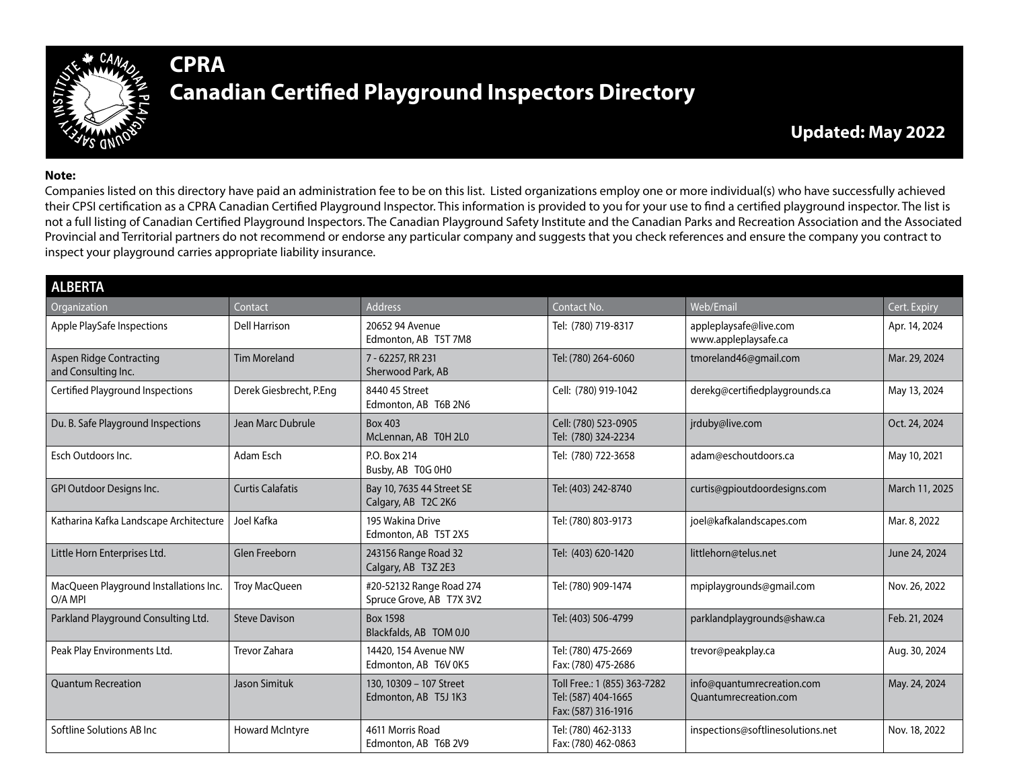

## **CPRA Canadian Certified Playground Inspectors Directory**

## **Note:**

Companies listed on this directory have paid an administration fee to be on this list. Listed organizations employ one or more individual(s) who have successfully achieved their CPSI certification as a CPRA Canadian Certified Playground Inspector. This information is provided to you for your use to find a certified playground inspector. The list is not a full listing of Canadian Certified Playground Inspectors. The Canadian Playground Safety Institute and the Canadian Parks and Recreation Association and the Associated Provincial and Territorial partners do not recommend or endorse any particular company and suggests that you check references and ensure the company you contract to inspect your playground carries appropriate liability insurance.

| <b>ALBERTA</b>                                    |                         |                                                      |                                                                            |                                                     |                |
|---------------------------------------------------|-------------------------|------------------------------------------------------|----------------------------------------------------------------------------|-----------------------------------------------------|----------------|
| Organization                                      | Contact                 | <b>Address</b>                                       | Contact No.                                                                | Web/Email                                           | Cert. Expiry   |
| Apple PlaySafe Inspections                        | <b>Dell Harrison</b>    | 20652 94 Avenue<br>Edmonton, AB T5T 7M8              | Tel: (780) 719-8317                                                        | appleplaysafe@live.com<br>www.appleplaysafe.ca      | Apr. 14, 2024  |
| Aspen Ridge Contracting<br>and Consulting Inc.    | <b>Tim Moreland</b>     | 7 - 62257, RR 231<br>Sherwood Park, AB               | Tel: (780) 264-6060                                                        | tmoreland46@gmail.com                               | Mar. 29, 2024  |
| Certified Playground Inspections                  | Derek Giesbrecht, P.Eng | 8440 45 Street<br>Edmonton, AB T6B 2N6               | Cell: (780) 919-1042                                                       | derekg@certifiedplaygrounds.ca                      | May 13, 2024   |
| Du. B. Safe Playground Inspections                | Jean Marc Dubrule       | <b>Box 403</b><br>McLennan, AB T0H 2L0               | Cell: (780) 523-0905<br>Tel: (780) 324-2234                                | jrduby@live.com                                     | Oct. 24, 2024  |
| Esch Outdoors Inc.                                | Adam Esch               | P.O. Box 214<br>Busby, AB TOG 0H0                    | Tel: (780) 722-3658                                                        | adam@eschoutdoors.ca                                | May 10, 2021   |
| GPI Outdoor Designs Inc.                          | <b>Curtis Calafatis</b> | Bay 10, 7635 44 Street SE<br>Calgary, AB T2C 2K6     | Tel: (403) 242-8740                                                        | curtis@gpioutdoordesigns.com                        | March 11, 2025 |
| Katharina Kafka Landscape Architecture            | Joel Kafka              | 195 Wakina Drive<br>Edmonton, AB T5T 2X5             | Tel: (780) 803-9173                                                        | joel@kafkalandscapes.com                            | Mar. 8, 2022   |
| Little Horn Enterprises Ltd.                      | Glen Freeborn           | 243156 Range Road 32<br>Calgary, AB T3Z 2E3          | Tel: (403) 620-1420                                                        | littlehorn@telus.net                                | June 24, 2024  |
| MacQueen Playground Installations Inc.<br>O/A MPI | <b>Troy MacQueen</b>    | #20-52132 Range Road 274<br>Spruce Grove, AB T7X 3V2 | Tel: (780) 909-1474                                                        | mpiplaygrounds@gmail.com                            | Nov. 26, 2022  |
| Parkland Playground Consulting Ltd.               | <b>Steve Davison</b>    | <b>Box 1598</b><br>Blackfalds, AB TOM 0J0            | Tel: (403) 506-4799                                                        | parklandplaygrounds@shaw.ca                         | Feb. 21, 2024  |
| Peak Play Environments Ltd.                       | <b>Trevor Zahara</b>    | 14420, 154 Avenue NW<br>Edmonton, AB T6V 0K5         | Tel: (780) 475-2669<br>Fax: (780) 475-2686                                 | trevor@peakplay.ca                                  | Aug. 30, 2024  |
| <b>Ouantum Recreation</b>                         | <b>Jason Simituk</b>    | 130, 10309 - 107 Street<br>Edmonton, AB T5J 1K3      | Toll Free.: 1 (855) 363-7282<br>Tel: (587) 404-1665<br>Fax: (587) 316-1916 | info@quantumrecreation.com<br>Ouantumrecreation.com | May. 24, 2024  |
| Softline Solutions AB Inc                         | <b>Howard McIntyre</b>  | 4611 Morris Road<br>Edmonton, AB T6B 2V9             | Tel: (780) 462-3133<br>Fax: (780) 462-0863                                 | inspections@softlinesolutions.net                   | Nov. 18, 2022  |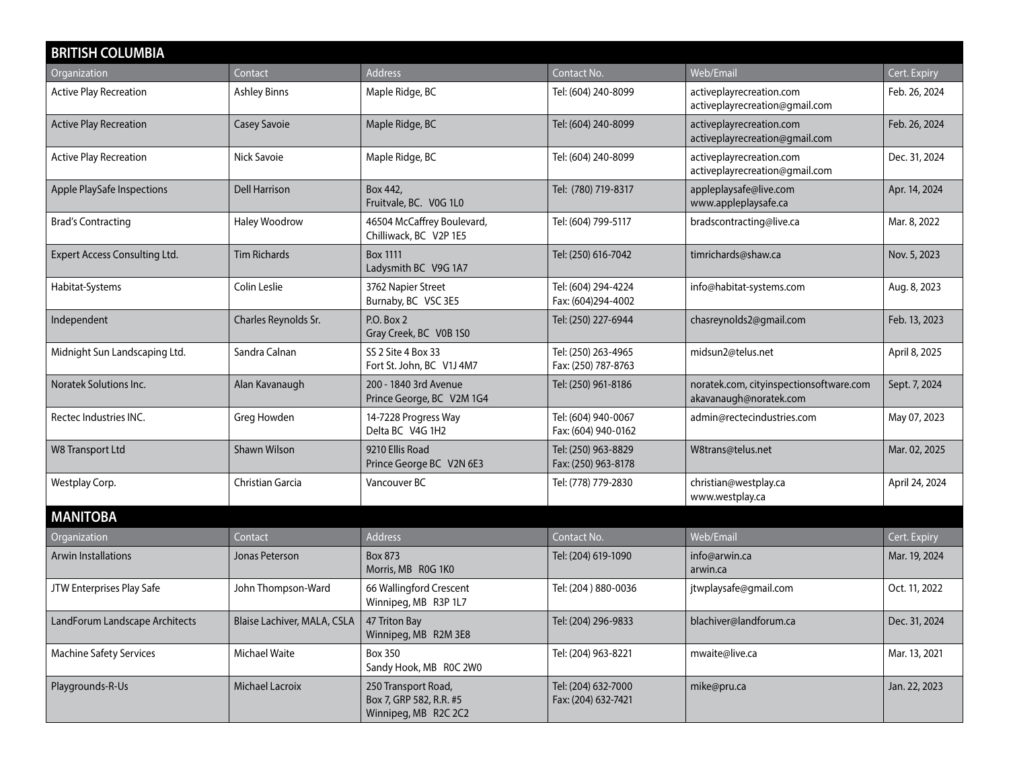| <b>BRITISH COLUMBIA</b>              |                             |                                                                        |                                            |                                                                   |                |  |
|--------------------------------------|-----------------------------|------------------------------------------------------------------------|--------------------------------------------|-------------------------------------------------------------------|----------------|--|
| Organization                         | Contact                     | Address                                                                | Contact No.                                | Web/Email                                                         | Cert. Expiry   |  |
| <b>Active Play Recreation</b>        | <b>Ashley Binns</b>         | Maple Ridge, BC                                                        | Tel: (604) 240-8099                        | activeplayrecreation.com<br>activeplayrecreation@gmail.com        | Feb. 26, 2024  |  |
| <b>Active Play Recreation</b>        | <b>Casey Savoie</b>         | Maple Ridge, BC                                                        | Tel: (604) 240-8099                        | activeplayrecreation.com<br>activeplayrecreation@gmail.com        | Feb. 26, 2024  |  |
| <b>Active Play Recreation</b>        | Nick Savoie                 | Maple Ridge, BC                                                        | Tel: (604) 240-8099                        | activeplayrecreation.com<br>activeplayrecreation@gmail.com        | Dec. 31, 2024  |  |
| Apple PlaySafe Inspections           | <b>Dell Harrison</b>        | Box 442,<br>Fruitvale, BC. V0G 1L0                                     | Tel: (780) 719-8317                        | appleplaysafe@live.com<br>www.appleplaysafe.ca                    | Apr. 14, 2024  |  |
| <b>Brad's Contracting</b>            | Haley Woodrow               | 46504 McCaffrey Boulevard,<br>Chilliwack, BC V2P 1E5                   | Tel: (604) 799-5117                        | bradscontracting@live.ca                                          | Mar. 8, 2022   |  |
| <b>Expert Access Consulting Ltd.</b> | <b>Tim Richards</b>         | <b>Box 1111</b><br>Ladysmith BC V9G 1A7                                | Tel: (250) 616-7042                        | timrichards@shaw.ca                                               | Nov. 5, 2023   |  |
| Habitat-Systems                      | Colin Leslie                | 3762 Napier Street<br>Burnaby, BC VSC 3E5                              | Tel: (604) 294-4224<br>Fax: (604)294-4002  | info@habitat-systems.com                                          | Aug. 8, 2023   |  |
| Independent                          | Charles Reynolds Sr.        | P.O. Box 2<br>Gray Creek, BC V0B 1S0                                   | Tel: (250) 227-6944                        | chasreynolds2@gmail.com                                           | Feb. 13, 2023  |  |
| Midnight Sun Landscaping Ltd.        | Sandra Calnan               | SS 2 Site 4 Box 33<br>Fort St. John, BC V1J 4M7                        | Tel: (250) 263-4965<br>Fax: (250) 787-8763 | midsun2@telus.net                                                 | April 8, 2025  |  |
| <b>Noratek Solutions Inc.</b>        | Alan Kavanaugh              | 200 - 1840 3rd Avenue<br>Prince George, BC V2M 1G4                     | Tel: (250) 961-8186                        | noratek.com, cityinspectionsoftware.com<br>akavanaugh@noratek.com | Sept. 7, 2024  |  |
| Rectec Industries INC.               | Greg Howden                 | 14-7228 Progress Way<br>Delta BC V4G 1H2                               | Tel: (604) 940-0067<br>Fax: (604) 940-0162 | admin@rectecindustries.com                                        | May 07, 2023   |  |
| <b>W8 Transport Ltd</b>              | <b>Shawn Wilson</b>         | 9210 Ellis Road<br>Prince George BC V2N 6E3                            | Tel: (250) 963-8829<br>Fax: (250) 963-8178 | W8trans@telus.net                                                 | Mar. 02, 2025  |  |
| Westplay Corp.                       | Christian Garcia            | Vancouver BC                                                           | Tel: (778) 779-2830                        | christian@westplay.ca<br>www.westplay.ca                          | April 24, 2024 |  |
| <b>MANITOBA</b>                      |                             |                                                                        |                                            |                                                                   |                |  |
| Organization                         | Contact                     | Address                                                                | Contact No.                                | Web/Email                                                         | Cert. Expiry   |  |
| <b>Arwin Installations</b>           | Jonas Peterson              | <b>Box 873</b><br>Morris, MB R0G 1K0                                   | Tel: (204) 619-1090                        | info@arwin.ca<br>arwin.ca                                         | Mar. 19, 2024  |  |
| JTW Enterprises Play Safe            | John Thompson-Ward          | 66 Wallingford Crescent<br>Winnipeg, MB R3P 1L7                        | Tel: (204) 880-0036                        | jtwplaysafe@gmail.com                                             | Oct. 11, 2022  |  |
| LandForum Landscape Architects       | Blaise Lachiver, MALA, CSLA | 47 Triton Bay<br>Winnipeg, MB R2M 3E8                                  | Tel: (204) 296-9833                        | blachiver@landforum.ca                                            | Dec. 31, 2024  |  |
| Machine Safety Services              | Michael Waite               | <b>Box 350</b><br>Sandy Hook, MB ROC 2W0                               | Tel: (204) 963-8221                        | mwaite@live.ca                                                    | Mar. 13, 2021  |  |
| Playgrounds-R-Us                     | Michael Lacroix             | 250 Transport Road,<br>Box 7, GRP 582, R.R. #5<br>Winnipeg, MB R2C 2C2 | Tel: (204) 632-7000<br>Fax: (204) 632-7421 | mike@pru.ca                                                       | Jan. 22, 2023  |  |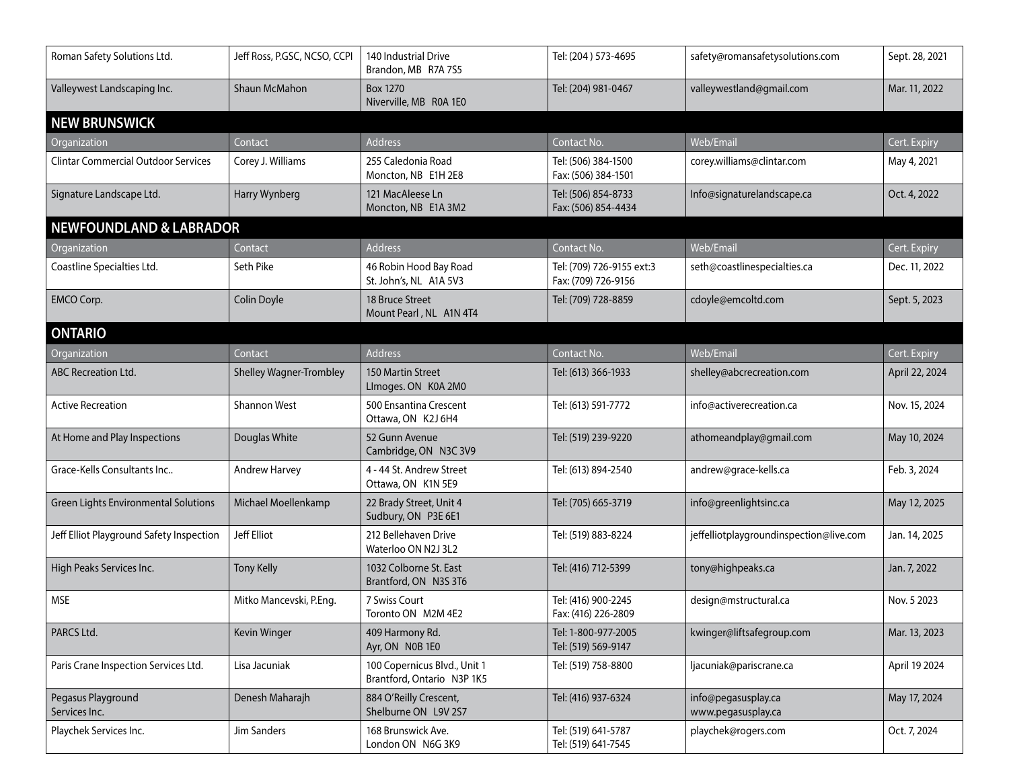| Roman Safety Solutions Ltd.                | Jeff Ross, P.GSC, NCSO, CCPI   | 140 Industrial Drive<br>Brandon, MB R7A 7S5                | Tel: (204) 573-4695                              | safety@romansafetysolutions.com           | Sept. 28, 2021 |
|--------------------------------------------|--------------------------------|------------------------------------------------------------|--------------------------------------------------|-------------------------------------------|----------------|
| Valleywest Landscaping Inc.                | <b>Shaun McMahon</b>           | <b>Box 1270</b><br>Niverville, MB R0A 1E0                  | Tel: (204) 981-0467                              | valleywestland@gmail.com                  | Mar. 11, 2022  |
| <b>NEW BRUNSWICK</b>                       |                                |                                                            |                                                  |                                           |                |
| Organization                               | Contact                        | Address                                                    | Contact No.                                      | Web/Email                                 | Cert. Expiry   |
| <b>Clintar Commercial Outdoor Services</b> | Corey J. Williams              | 255 Caledonia Road<br>Moncton, NB E1H 2E8                  | Tel: (506) 384-1500<br>Fax: (506) 384-1501       | corey.williams@clintar.com                | May 4, 2021    |
| Signature Landscape Ltd.                   | Harry Wynberg                  | 121 MacAleese Ln<br>Moncton, NB E1A 3M2                    | Tel: (506) 854-8733<br>Fax: (506) 854-4434       | Info@signaturelandscape.ca                | Oct. 4, 2022   |
| <b>NEWFOUNDLAND &amp; LABRADOR</b>         |                                |                                                            |                                                  |                                           |                |
| Organization                               | Contact                        | Address                                                    | Contact No.                                      | Web/Email                                 | Cert. Expiry   |
| Coastline Specialties Ltd.                 | Seth Pike                      | 46 Robin Hood Bay Road<br>St. John's, NL A1A 5V3           | Tel: (709) 726-9155 ext:3<br>Fax: (709) 726-9156 | seth@coastlinespecialties.ca              | Dec. 11, 2022  |
| EMCO Corp.                                 | Colin Doyle                    | 18 Bruce Street<br>Mount Pearl, NL A1N 4T4                 | Tel: (709) 728-8859                              | cdoyle@emcoltd.com                        | Sept. 5, 2023  |
| <b>ONTARIO</b>                             |                                |                                                            |                                                  |                                           |                |
| Organization                               | Contact                        | Address                                                    | Contact No.                                      | Web/Email                                 | Cert. Expiry   |
| <b>ABC Recreation Ltd.</b>                 | <b>Shelley Wagner-Trombley</b> | 150 Martin Street<br>LImoges. ON K0A 2M0                   | Tel: (613) 366-1933                              | shelley@abcrecreation.com                 | April 22, 2024 |
| <b>Active Recreation</b>                   | <b>Shannon West</b>            | 500 Ensantina Crescent<br>Ottawa, ON K2J 6H4               | Tel: (613) 591-7772                              | info@activerecreation.ca                  | Nov. 15, 2024  |
| At Home and Play Inspections               | Douglas White                  | 52 Gunn Avenue<br>Cambridge, ON N3C 3V9                    | Tel: (519) 239-9220                              | athomeandplay@gmail.com                   | May 10, 2024   |
| Grace-Kells Consultants Inc                | Andrew Harvey                  | 4 - 44 St. Andrew Street<br>Ottawa, ON K1N 5E9             | Tel: (613) 894-2540                              | andrew@grace-kells.ca                     | Feb. 3, 2024   |
| Green Lights Environmental Solutions       | Michael Moellenkamp            | 22 Brady Street, Unit 4<br>Sudbury, ON P3E 6E1             | Tel: (705) 665-3719                              | info@greenlightsinc.ca                    | May 12, 2025   |
| Jeff Elliot Playground Safety Inspection   | Jeff Elliot                    | 212 Bellehaven Drive<br>Waterloo ON N2J 3L2                | Tel: (519) 883-8224                              | jeffelliotplaygroundinspection@live.com   | Jan. 14, 2025  |
| High Peaks Services Inc.                   | <b>Tony Kelly</b>              | 1032 Colborne St. East<br>Brantford, ON N3S 3T6            | Tel: (416) 712-5399                              | tony@highpeaks.ca                         | Jan. 7, 2022   |
| <b>MSE</b>                                 | Mitko Mancevski, P.Eng.        | 7 Swiss Court<br>Toronto ON M2M 4E2                        | Tel: (416) 900-2245<br>Fax: (416) 226-2809       | design@mstructural.ca                     | Nov. 5 2023    |
| PARCS Ltd.                                 | Kevin Winger                   | 409 Harmony Rd.<br>Ayr, ON N0B 1E0                         | Tel: 1-800-977-2005<br>Tel: (519) 569-9147       | kwinger@liftsafegroup.com                 | Mar. 13, 2023  |
| Paris Crane Inspection Services Ltd.       | Lisa Jacuniak                  | 100 Copernicus Blvd., Unit 1<br>Brantford, Ontario N3P 1K5 | Tel: (519) 758-8800                              | ljacuniak@pariscrane.ca                   | April 19 2024  |
| Pegasus Playground<br>Services Inc.        | Denesh Maharajh                | 884 O'Reilly Crescent,<br>Shelburne ON L9V 2S7             | Tel: (416) 937-6324                              | info@pegasusplay.ca<br>www.pegasusplay.ca | May 17, 2024   |
| Playchek Services Inc.                     | Jim Sanders                    | 168 Brunswick Ave.<br>London ON N6G 3K9                    | Tel: (519) 641-5787<br>Tel: (519) 641-7545       | playchek@rogers.com                       | Oct. 7, 2024   |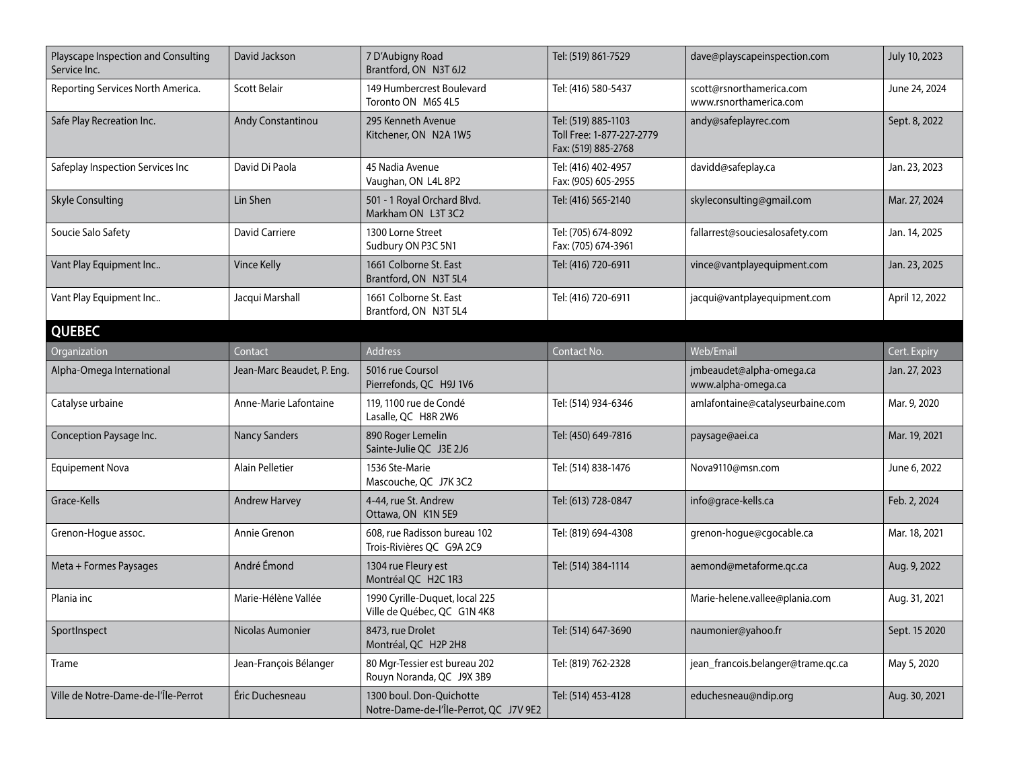| Playscape Inspection and Consulting<br>Service Inc. | David Jackson              | 7 D'Aubigny Road<br>Brantford, ON N3T 6J2                          | Tel: (519) 861-7529                                                     | dave@playscapeinspection.com                       | July 10, 2023  |
|-----------------------------------------------------|----------------------------|--------------------------------------------------------------------|-------------------------------------------------------------------------|----------------------------------------------------|----------------|
| Reporting Services North America.                   | <b>Scott Belair</b>        | 149 Humbercrest Boulevard<br>Toronto ON M6S 4L5                    | Tel: (416) 580-5437                                                     | scott@rsnorthamerica.com<br>www.rsnorthamerica.com | June 24, 2024  |
| Safe Play Recreation Inc.                           | Andy Constantinou          | 295 Kenneth Avenue<br>Kitchener, ON N2A 1W5                        | Tel: (519) 885-1103<br>Toll Free: 1-877-227-2779<br>Fax: (519) 885-2768 | andy@safeplayrec.com                               | Sept. 8, 2022  |
| Safeplay Inspection Services Inc                    | David Di Paola             | 45 Nadia Avenue<br>Vaughan, ON L4L 8P2                             | Tel: (416) 402-4957<br>Fax: (905) 605-2955                              | davidd@safeplay.ca                                 | Jan. 23, 2023  |
| <b>Skyle Consulting</b>                             | Lin Shen                   | 501 - 1 Royal Orchard Blvd.<br>Markham ON L3T 3C2                  | Tel: (416) 565-2140                                                     | skyleconsulting@gmail.com                          | Mar. 27, 2024  |
| Soucie Salo Safety                                  | David Carriere             | 1300 Lorne Street<br>Sudbury ON P3C 5N1                            | Tel: (705) 674-8092<br>Fax: (705) 674-3961                              | fallarrest@souciesalosafety.com                    | Jan. 14, 2025  |
| Vant Play Equipment Inc                             | Vince Kelly                | 1661 Colborne St. East<br>Brantford, ON N3T 5L4                    | Tel: (416) 720-6911                                                     | vince@vantplayequipment.com                        | Jan. 23, 2025  |
| Vant Play Equipment Inc                             | Jacqui Marshall            | 1661 Colborne St. East<br>Brantford, ON N3T 5L4                    | Tel: (416) 720-6911                                                     | jacqui@vantplayequipment.com                       | April 12, 2022 |
| <b>QUEBEC</b>                                       |                            |                                                                    |                                                                         |                                                    |                |
| Organization                                        | Contact                    | <b>Address</b>                                                     | Contact No.                                                             | Web/Email                                          | Cert. Expiry   |
| Alpha-Omega International                           | Jean-Marc Beaudet, P. Eng. | 5016 rue Coursol<br>Pierrefonds, QC H9J 1V6                        |                                                                         | jmbeaudet@alpha-omega.ca<br>www.alpha-omega.ca     | Jan. 27, 2023  |
| Catalyse urbaine                                    | Anne-Marie Lafontaine      | 119, 1100 rue de Condé<br>Lasalle, QC H8R 2W6                      | Tel: (514) 934-6346                                                     | amlafontaine@catalyseurbaine.com                   | Mar. 9, 2020   |
| Conception Paysage Inc.                             | <b>Nancy Sanders</b>       | 890 Roger Lemelin<br>Sainte-Julie QC J3E 2J6                       | Tel: (450) 649-7816                                                     | paysage@aei.ca                                     | Mar. 19, 2021  |
| <b>Equipement Nova</b>                              | Alain Pelletier            | 1536 Ste-Marie<br>Mascouche, QC J7K 3C2                            | Tel: (514) 838-1476                                                     | Nova9110@msn.com                                   | June 6, 2022   |
| Grace-Kells                                         | <b>Andrew Harvey</b>       | 4-44, rue St. Andrew<br>Ottawa, ON K1N 5E9                         | Tel: (613) 728-0847                                                     | info@grace-kells.ca                                | Feb. 2, 2024   |
| Grenon-Hogue assoc.                                 | Annie Grenon               | 608, rue Radisson bureau 102<br>Trois-Rivières QC G9A 2C9          | Tel: (819) 694-4308                                                     | grenon-hogue@cgocable.ca                           | Mar. 18, 2021  |
| Meta + Formes Paysages                              | André Émond                | 1304 rue Fleury est<br>Montréal QC H2C 1R3                         | Tel: (514) 384-1114                                                     | aemond@metaforme.qc.ca                             | Aug. 9, 2022   |
| Plania inc                                          | Marie-Hélène Vallée        | 1990 Cyrille-Duquet, local 225<br>Ville de Québec, QC G1N 4K8      |                                                                         | Marie-helene.vallee@plania.com                     | Aug. 31, 2021  |
| SportInspect                                        | Nicolas Aumonier           | 8473, rue Drolet<br>Montréal, QC H2P 2H8                           | Tel: (514) 647-3690                                                     | naumonier@yahoo.fr                                 | Sept. 15 2020  |
| Trame                                               | Jean-François Bélanger     | 80 Mgr-Tessier est bureau 202<br>Rouyn Noranda, QC J9X 3B9         | Tel: (819) 762-2328                                                     | jean_francois.belanger@trame.qc.ca                 | May 5, 2020    |
| Ville de Notre-Dame-de-l'Île-Perrot                 | Éric Duchesneau            | 1300 boul. Don-Quichotte<br>Notre-Dame-de-l'Île-Perrot, QC J7V 9E2 | Tel: (514) 453-4128                                                     | educhesneau@ndip.org                               | Aug. 30, 2021  |